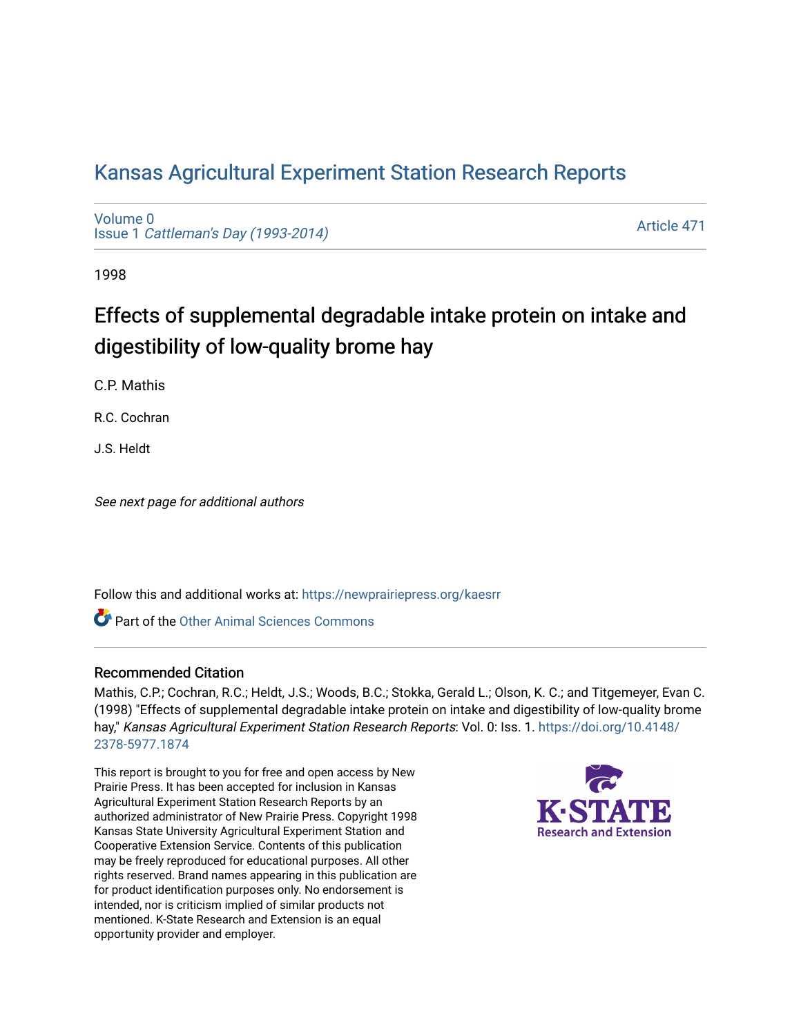## [Kansas Agricultural Experiment Station Research Reports](https://newprairiepress.org/kaesrr)

[Volume 0](https://newprairiepress.org/kaesrr/vol0) Issue 1 [Cattleman's Day \(1993-2014\)](https://newprairiepress.org/kaesrr/vol0/iss1) 

[Article 471](https://newprairiepress.org/kaesrr/vol0/iss1/471) 

1998

# Effects of supplemental degradable intake protein on intake and digestibility of low-quality brome hay

C.P. Mathis

R.C. Cochran

J.S. Heldt

See next page for additional authors

Follow this and additional works at: [https://newprairiepress.org/kaesrr](https://newprairiepress.org/kaesrr?utm_source=newprairiepress.org%2Fkaesrr%2Fvol0%2Fiss1%2F471&utm_medium=PDF&utm_campaign=PDFCoverPages) 

Part of the [Other Animal Sciences Commons](http://network.bepress.com/hgg/discipline/82?utm_source=newprairiepress.org%2Fkaesrr%2Fvol0%2Fiss1%2F471&utm_medium=PDF&utm_campaign=PDFCoverPages)

#### Recommended Citation

Mathis, C.P.; Cochran, R.C.; Heldt, J.S.; Woods, B.C.; Stokka, Gerald L.; Olson, K. C.; and Titgemeyer, Evan C. (1998) "Effects of supplemental degradable intake protein on intake and digestibility of low-quality brome hay," Kansas Agricultural Experiment Station Research Reports: Vol. 0: Iss. 1. [https://doi.org/10.4148/](https://doi.org/10.4148/2378-5977.1874) [2378-5977.1874](https://doi.org/10.4148/2378-5977.1874) 

This report is brought to you for free and open access by New Prairie Press. It has been accepted for inclusion in Kansas Agricultural Experiment Station Research Reports by an authorized administrator of New Prairie Press. Copyright 1998 Kansas State University Agricultural Experiment Station and Cooperative Extension Service. Contents of this publication may be freely reproduced for educational purposes. All other rights reserved. Brand names appearing in this publication are for product identification purposes only. No endorsement is intended, nor is criticism implied of similar products not mentioned. K-State Research and Extension is an equal opportunity provider and employer.

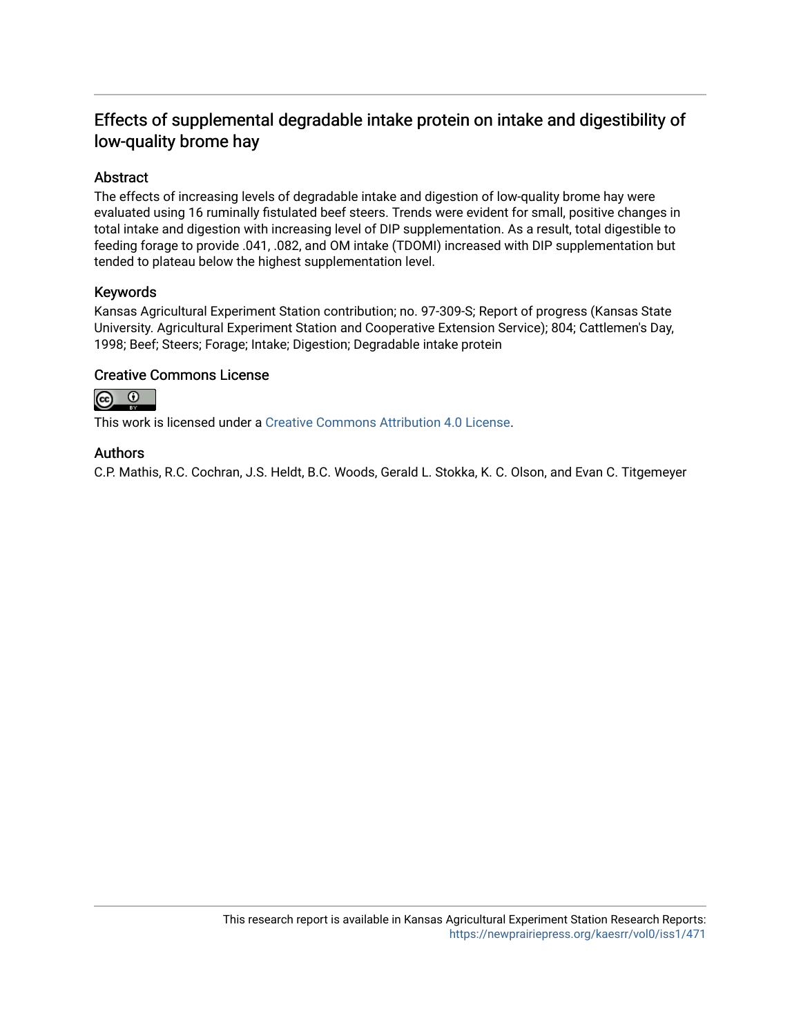### Effects of supplemental degradable intake protein on intake and digestibility of low-quality brome hay

#### Abstract

The effects of increasing levels of degradable intake and digestion of low-quality brome hay were evaluated using 16 ruminally fistulated beef steers. Trends were evident for small, positive changes in total intake and digestion with increasing level of DIP supplementation. As a result, total digestible to feeding forage to provide .041, .082, and OM intake (TDOMI) increased with DIP supplementation but tended to plateau below the highest supplementation level.

#### Keywords

Kansas Agricultural Experiment Station contribution; no. 97-309-S; Report of progress (Kansas State University. Agricultural Experiment Station and Cooperative Extension Service); 804; Cattlemen's Day, 1998; Beef; Steers; Forage; Intake; Digestion; Degradable intake protein

#### Creative Commons License



This work is licensed under a [Creative Commons Attribution 4.0 License](https://creativecommons.org/licenses/by/4.0/).

#### Authors

C.P. Mathis, R.C. Cochran, J.S. Heldt, B.C. Woods, Gerald L. Stokka, K. C. Olson, and Evan C. Titgemeyer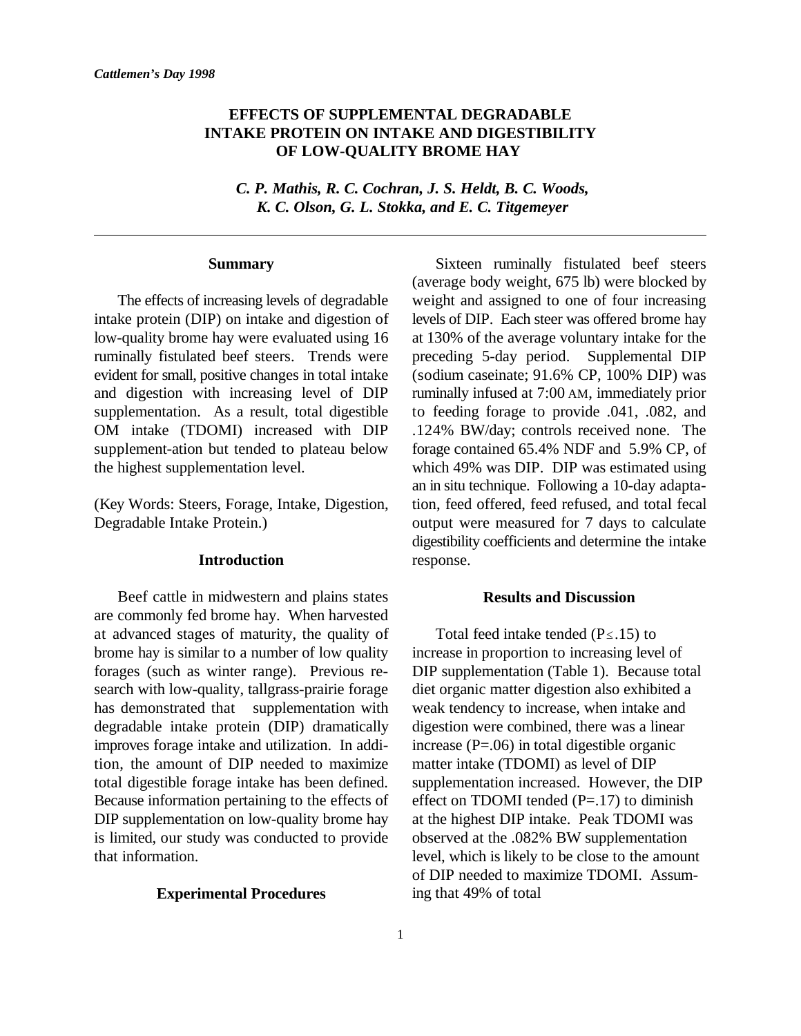#### **EFFECTS OF SUPPLEMENTAL DEGRADABLE INTAKE PROTEIN ON INTAKE AND DIGESTIBILITY OF LOW-QUALITY BROME HAY**

*C. P. Mathis, R. C. Cochran, J. S. Heldt, B. C. Woods, K. C. Olson, G. L. Stokka, and E. C. Titgemeyer*

#### **Summary**

intake protein (DIP) on intake and digestion of levels of DIP. Each steer was offered brome hay low-quality brome hay were evaluated using 16 at 130% of the average voluntary intake for the ruminally fistulated beef steers. Trends were preceding 5-day period. Supplemental DIP evident for small, positive changes in total intake (sodium caseinate; 91.6% CP, 100% DIP) was and digestion with increasing level of DIP ruminally infused at 7:00 AM, immediately prior supplementation. As a result, total digestible to feeding forage to provide .041, .082, and OM intake (TDOMI) increased with DIP .124% BW/day; controls received none. The supplement-ation but tended to plateau below forage contained 65.4% NDF and 5.9% CP, of the highest supplementation level. which 49% was DIP. DIP was estimated using

#### **Introduction**

Beef cattle in midwestern and plains states are commonly fed brome hay. When harvested at advanced stages of maturity, the quality of Total feed intake tended ( $P \le 15$ ) to brome hay is similar to a number of low quality increase in proportion to increasing level of forages (such as winter range). Previous re- DIP supplementation (Table 1). Because total search with low-quality, tallgrass-prairie forage diet organic matter digestion also exhibited a has demonstrated that supplementation with weak tendency to increase, when intake and degradable intake protein (DIP) dramatically digestion were combined, there was a linear improves forage intake and utilization. In addi- increase  $(P=.06)$  in total digestible organic tion, the amount of DIP needed to maximize matter intake (TDOMI) as level of DIP total digestible forage intake has been defined. supplementation increased. However, the DIP Because information pertaining to the effects of effect on TDOMI tended  $(P=17)$  to diminish DIP supplementation on low-quality brome hay at the highest DIP intake. Peak TDOMI was is limited, our study was conducted to provide observed at the .082% BW supplementation that information. level, which is likely to be close to the amount

#### **Experimental Procedures**

The effects of increasing levels of degradable weight and assigned to one of four increasing (Key Words: Steers, Forage, Intake, Digestion, tion, feed offered, feed refused, and total fecal Degradable Intake Protein.) output were measured for 7 days to calculate Sixteen ruminally fistulated beef steers (average body weight, 675 lb) were blocked by an in situ technique. Following a 10-day adaptadigestibility coefficients and determine the intake response.

#### **Results and Discussion**

of DIP needed to maximize TDOMI. Assuming that 49% of total